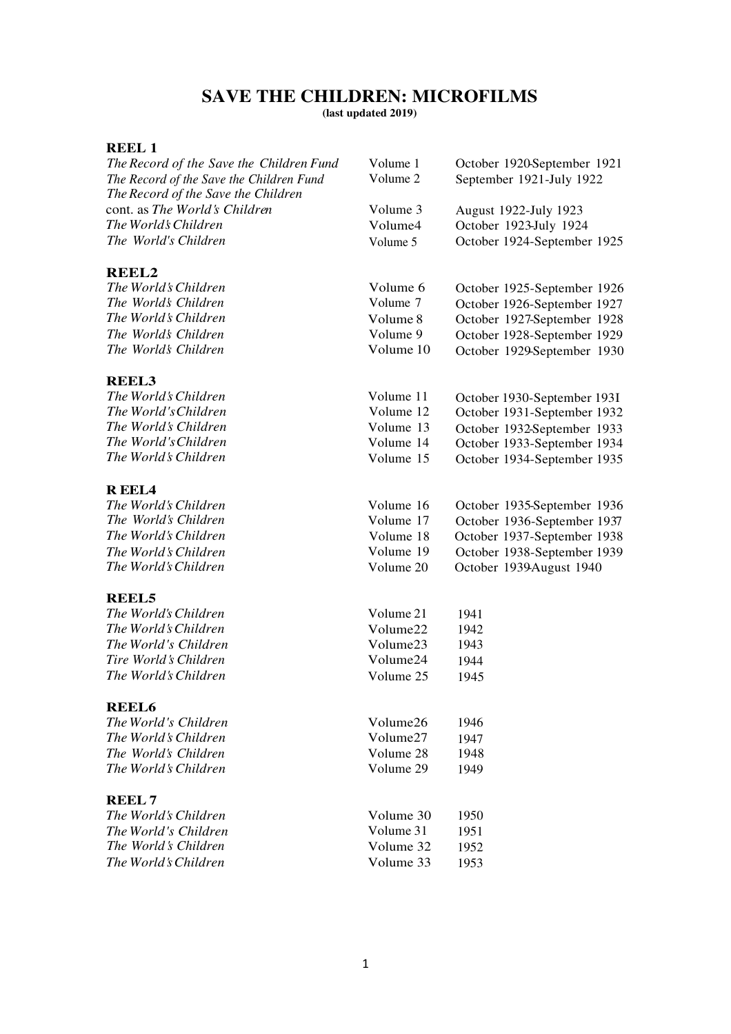# **SAVE THE CHILDREN: MICROFILMS**

**(last updated 2019)**

### **REEL 1**

| The Record of the Save the Children Fund | Volume 1  | October 1920-September 1921 |
|------------------------------------------|-----------|-----------------------------|
| The Record of the Save the Children Fund | Volume 2  | September 1921-July 1922    |
| The Record of the Save the Children      |           |                             |
| cont. as The World's Children            | Volume 3  | August 1922-July 1923       |
| The World's Children                     | Volume4   | October 1923-July 1924      |
| The World's Children                     | Volume 5  | October 1924-September 1925 |
|                                          |           |                             |
| <b>REEL2</b>                             |           |                             |
| The World's Children                     | Volume 6  | October 1925-September 1926 |
| The World's Children                     | Volume 7  | October 1926-September 1927 |
| The World's Children                     | Volume 8  | October 1927-September 1928 |
| The Worlds Children                      | Volume 9  | October 1928-September 1929 |
| The World's Children                     | Volume 10 | October 1929-September 1930 |
|                                          |           |                             |
| <b>REEL3</b>                             |           |                             |
| The World's Children                     | Volume 11 | October 1930-September 193I |
| The World's Children                     | Volume 12 | October 1931-September 1932 |
| The World's Children                     | Volume 13 | October 1932-September 1933 |
| The World's Children                     | Volume 14 | October 1933-September 1934 |
| The World's Children                     | Volume 15 | October 1934-September 1935 |
|                                          |           |                             |
| <b>REEL4</b>                             |           |                             |
| The World's Children                     | Volume 16 | October 1935-September 1936 |
| The World's Children                     | Volume 17 | October 1936-September 1937 |
| The World's Children                     | Volume 18 | October 1937-September 1938 |
| The World's Children                     | Volume 19 | October 1938-September 1939 |
| The World's Children                     | Volume 20 | October 1939August 1940     |
|                                          |           |                             |
| <b>REEL5</b><br>The World's Children     | Volume 21 | 1941                        |
| The World's Children                     | Volume22  | 1942                        |
| The World's Children                     | Volume23  |                             |
| Tire World's Children                    |           | 1943                        |
|                                          | Volume24  | 1944                        |
| The World's Children                     | Volume 25 | 1945                        |
| <b>REEL6</b>                             |           |                             |
| The World's Children                     | Volume26  | 1946                        |
| The World's Children                     | Volume27  | 1947                        |
| The World's Children                     | Volume 28 | 1948                        |
| The World's Children                     | Volume 29 | 1949                        |
|                                          |           |                             |
| <b>REEL7</b>                             |           |                             |
| The World's Children                     | Volume 30 | 1950                        |
| The World's Children                     | Volume 31 | 1951                        |
| The World's Children                     | Volume 32 | 1952                        |
| The World's Children                     | Volume 33 | 1953                        |
|                                          |           |                             |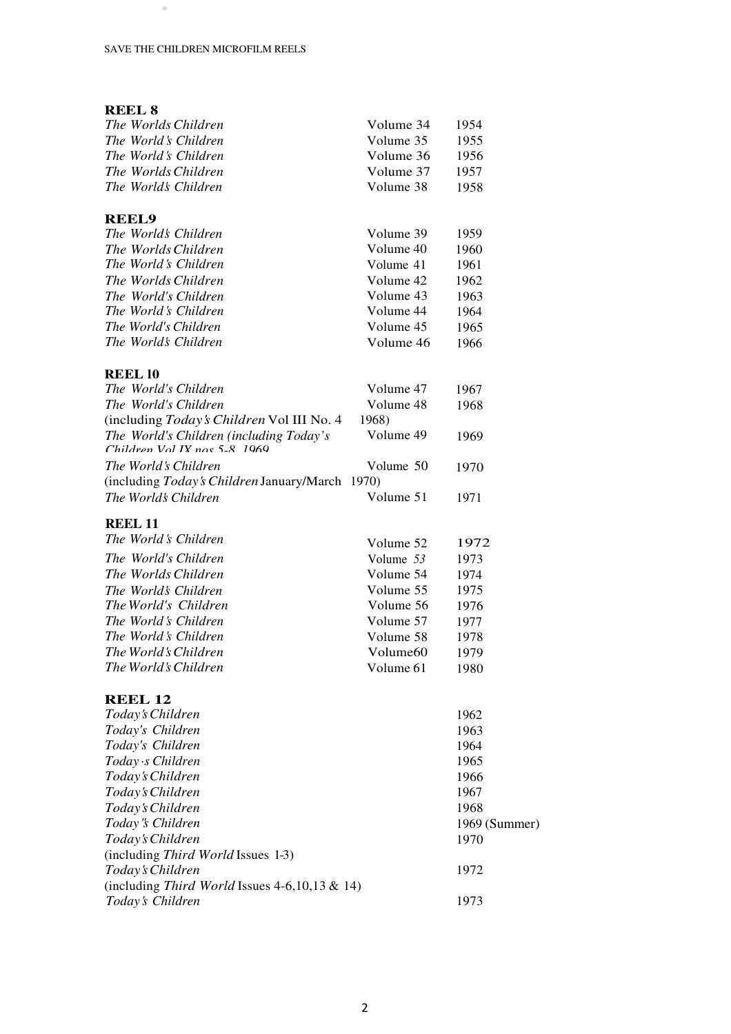•

### **REEL 8** *The Worlds Children*<br> *The World's Children*<br> *The World's Children*<br> *The World's Children The World 's Children* Volume 35 1955 *The World*'s *Children* Volume 36 1956 *The Worlds Children* Volume 37 1957 *The World's Children* Volume 38 1958 **REEL9** *The World's Children* Volume 39 1959 *The WorldsChildren* Volume 40 1960 *The World*'s *Children* Volume 41 1961 *The Worlds Children* Volume 42 1962 *The World's Children* Volume 43 1963 *The World*'s *Children* Volume 44 1964 *The World's Children* Volume 45 1965 *The World's Children* Volume 46 1966 **REEL l0** *The World's Children* Volume 47 1967 *The World's Children* Volume 48 1968 (including *Today'sChildren* Vol III No. 4 1968) *The World's Children (including Today's Children Vol IX nos 5-8, 1969* Volume 49 1969 *The World's Children* Volume 50 1970 (including *Today'sChildren* January/March 1970) *The World's Children* Volume 51 1971 **REEL 11** *The World's Children* Volume 52 1972 *The World's Children* Volume 53 1973 *The Worlds Children* Volume 54 1974 *The World's Children* Volume 55 1975<br> *The World's Children* Volume 56 1976 *The World's Children* Volume 56 1976 *The World*'s *Children* Volume 57 1977 *The World 's Children* Volume 58 1978 *The World's Children* Volume60 1979 *The World's Children* Volume 61 1980 **REEL 12** *Today 's Children* 1962 *Today's Children* 1963 *Today's Children* 1964 *Today ·s Children* 1965 *Today'sChildren* 1966 *Today'sChildren* 1967 *Today'sChildren* 1968 *Today"s Children* 1969 (Summer) *Today'sChildren* 1970 (including *Third World* Issues 1-3) *Today'sChildren* 1972

(including *Third World* Issues 4-6,10,13 & 14)

*Today's Children* 1973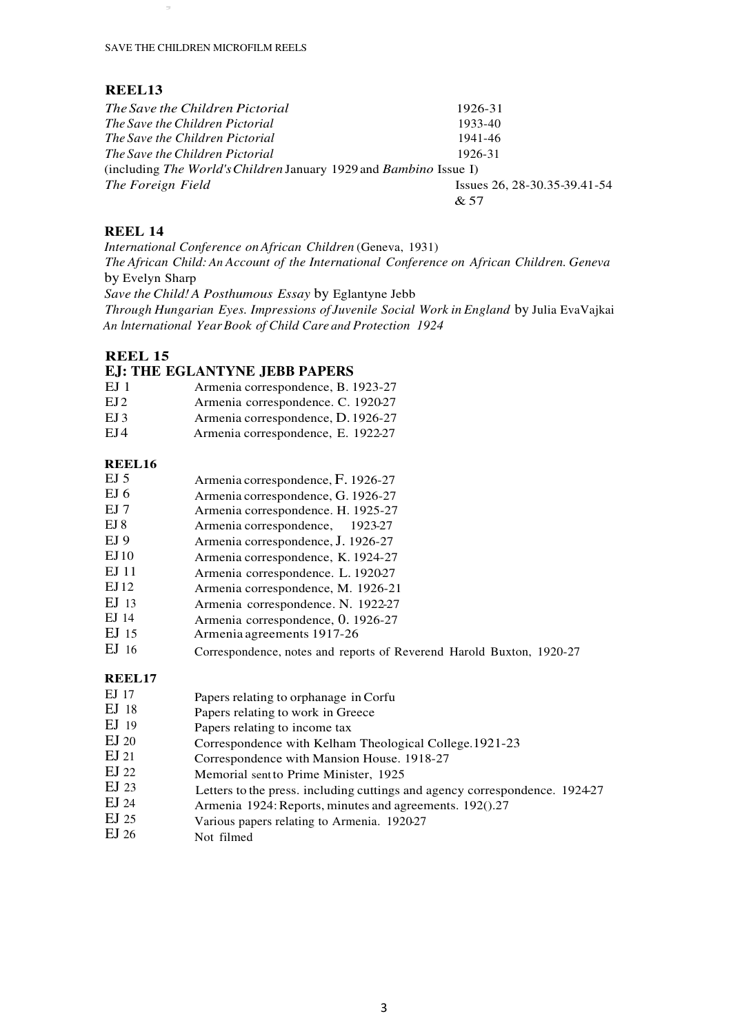,

#### **REEL13**

| The Save the Children Pictorial                                                 | 1926-31                      |
|---------------------------------------------------------------------------------|------------------------------|
| The Save the Children Pictorial                                                 | 1933-40                      |
| The Save the Children Pictorial                                                 | 1941-46                      |
| The Save the Children Pictorial                                                 | 1926-31                      |
| (including <i>The World's Children</i> January 1929 and <i>Bambino</i> Issue I) |                              |
| The Foreign Field                                                               | Issues 26, 28-30.35-39.41-54 |
|                                                                                 | & 57                         |

#### **REEL 14**

*International Conference on African Children* (Geneva, 1931) *The African Child: An Account of the International Conference on African Children. Geneva* by Evelyn Sharp *Save the Child! A Posthumous Essay* by Eglantyne Jebb *Through Hungarian Eyes. Impressions of Juvenile Social Work in England* by Julia EvaVajkai *An lnternational Year Book of Child Care and Protection 1924* 

#### **REEL 15**

#### **EJ: THE EGLANTYNE JEBB PAPERS**

- EJ 1 Armenia correspondence, B. 1923-27
- EJ 2 Armenia correspondence. C. 1920-27
- EJ 3 Armenia correspondence, D. 1926-27<br>EJ 4 Armenia correspondence, E. 1922-27
- Armenia correspondence, E. 1922-27

#### **REEL16**

| Armenia correspondence, F. 1926-27 |
|------------------------------------|
| Armenia correspondence, G. 1926-27 |
| Armenia correspondence. H. 1925-27 |
| Armenia correspondence, 1923-27    |
| Armenia correspondence, J. 1926-27 |
| Armenia correspondence, K. 1924-27 |
| Armenia correspondence. L. 1920-27 |
| Armenia correspondence, M. 1926-21 |
| Armenia correspondence. N. 1922-27 |
| Armenia correspondence, 0. 1926-27 |
|                                    |

- EJ 15 Armenia agreements 1917-26
- EJ 16 Correspondence, notes and reports of Reverend Harold Buxton, 1920-27

### **REEL17**

- EJ 17 Papers relating to orphanage in Corfu
- EJ 18 Papers relating to work in Greece
- EJ 19 Papers relating to income tax
- EJ 20 Correspondence with Kelham Theological College.1921-23
- EJ 21 Correspondence with Mansion House. 1918-27
- EJ 22 Memorial sent to Prime Minister, 1925
- EJ 23 Letters to the press. including cuttings and agency correspondence. 1924-27
- EJ 24 Armenia 1924: Reports, minutes and agreements. 192().27
- EJ 25 Various papers relating to Armenia. 1920-27
- EJ 26 Not filmed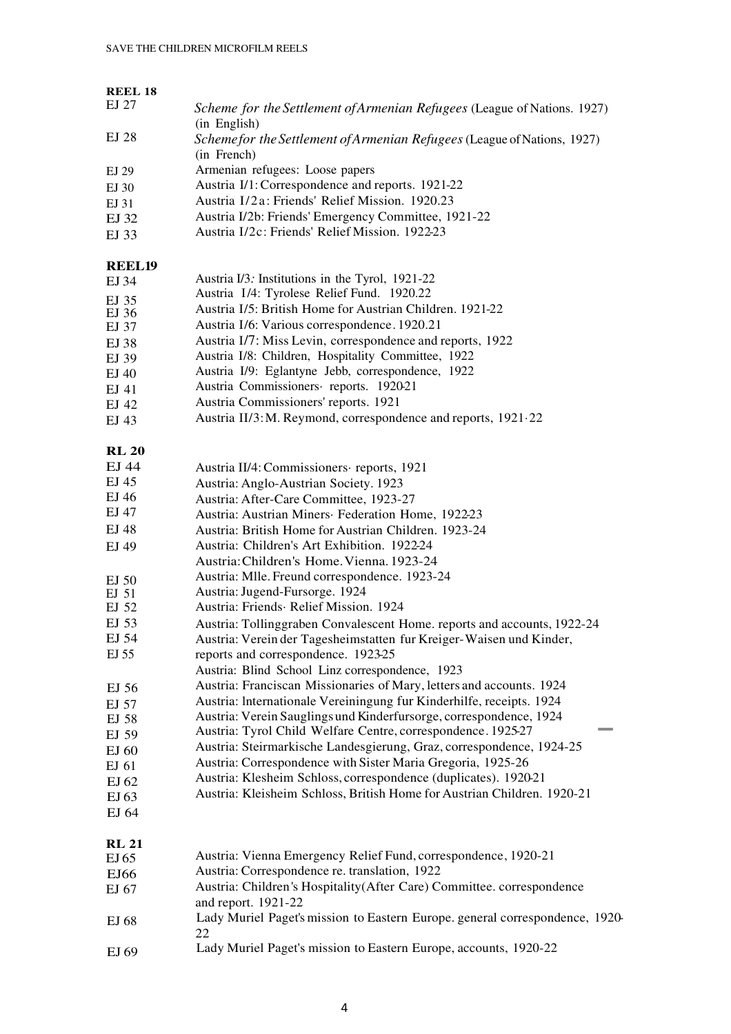| <b>REEL 18</b>   |                                                                                               |
|------------------|-----------------------------------------------------------------------------------------------|
| EJ 27            | Scheme for the Settlement of Armenian Refugees (League of Nations. 1927)<br>(in English)      |
| EJ 28            | Schemefor the Settlement of Armenian Refugees (League of Nations, 1927)<br>(in French)        |
| EJ 29            | Armenian refugees: Loose papers                                                               |
| EJ 30            | Austria I/1: Correspondence and reports. 1921-22                                              |
| EJ 31            | Austria I/2a: Friends' Relief Mission. 1920.23                                                |
| EJ 32            | Austria I/2b: Friends' Emergency Committee, 1921-22                                           |
| EJ 33            | Austria I/2c: Friends' Relief Mission. 1922-23                                                |
| <b>REEL19</b>    |                                                                                               |
| EJ 34            | Austria I/3: Institutions in the Tyrol, 1921-22                                               |
| EJ 35            | Austria I/4: Tyrolese Relief Fund. 1920.22                                                    |
| EJ 36            | Austria I/5: British Home for Austrian Children. 1921-22                                      |
| EJ 37            | Austria I/6: Various correspondence. 1920.21                                                  |
| EJ 38            | Austria I/7: Miss Levin, correspondence and reports, 1922                                     |
| EJ 39            | Austria I/8: Children, Hospitality Committee, 1922                                            |
| EJ 40            | Austria I/9: Eglantyne Jebb, correspondence, 1922                                             |
| EJ 41            | Austria Commissioners· reports. 1920-21                                                       |
| EJ 42            | Austria Commissioners' reports. 1921                                                          |
| EJ 43            | Austria II/3: M. Reymond, correspondence and reports, 1921.22                                 |
| <b>RL 20</b>     |                                                                                               |
| EJ 44            | Austria II/4: Commissioners · reports, 1921                                                   |
| EJ 45            | Austria: Anglo-Austrian Society. 1923                                                         |
| EJ 46            | Austria: After-Care Committee, 1923-27                                                        |
| EJ 47            | Austria: Austrian Miners Federation Home, 1922-23                                             |
| EJ 48            | Austria: British Home for Austrian Children. 1923-24                                          |
| EJ 49            | Austria: Children's Art Exhibition. 1922-24                                                   |
|                  | Austria: Children's Home. Vienna. 1923-24                                                     |
| EJ <sub>50</sub> | Austria: Mlle. Freund correspondence. 1923-24                                                 |
| EJ <sub>51</sub> | Austria: Jugend-Fursorge. 1924                                                                |
| EJ 52            | Austria: Friends· Relief Mission. 1924                                                        |
| EJ 53            | Austria: Tollinggraben Convalescent Home. reports and accounts, 1922-24                       |
| EJ 54            | Austria: Verein der Tagesheimstatten fur Kreiger-Waisen und Kinder,                           |
| EJ 55            | reports and correspondence. 1923-25                                                           |
|                  | Austria: Blind School Linz correspondence, 1923                                               |
| EJ 56            | Austria: Franciscan Missionaries of Mary, letters and accounts. 1924                          |
| EJ 57            | Austria: Internationale Vereiningung fur Kinderhilfe, receipts. 1924                          |
| EJ 58            | Austria: Verein Sauglings und Kinderfursorge, correspondence, 1924                            |
| EJ 59            | Austria: Tyrol Child Welfare Centre, correspondence. 1925-27                                  |
| EJ 60            | Austria: Steirmarkische Landesgierung, Graz, correspondence, 1924-25                          |
| EJ $61$          | Austria: Correspondence with Sister Maria Gregoria, 1925-26                                   |
| EJ 62            | Austria: Klesheim Schloss, correspondence (duplicates). 1920-21                               |
| EJ <sub>63</sub> | Austria: Kleisheim Schloss, British Home for Austrian Children. 1920-21                       |
| EJ 64            |                                                                                               |
| <b>RL 21</b>     |                                                                                               |
| EJ <sub>65</sub> | Austria: Vienna Emergency Relief Fund, correspondence, 1920-21                                |
| EJ66             | Austria: Correspondence re. translation, 1922                                                 |
| EJ 67            | Austria: Children's Hospitality (After Care) Committee. correspondence<br>and report. 1921-22 |
| EJ 68            | Lady Muriel Paget's mission to Eastern Europe. general correspondence, 1920-<br>22            |

EJ 69 Lady Muriel Paget's mission to Eastern Europe, accounts, 1920-22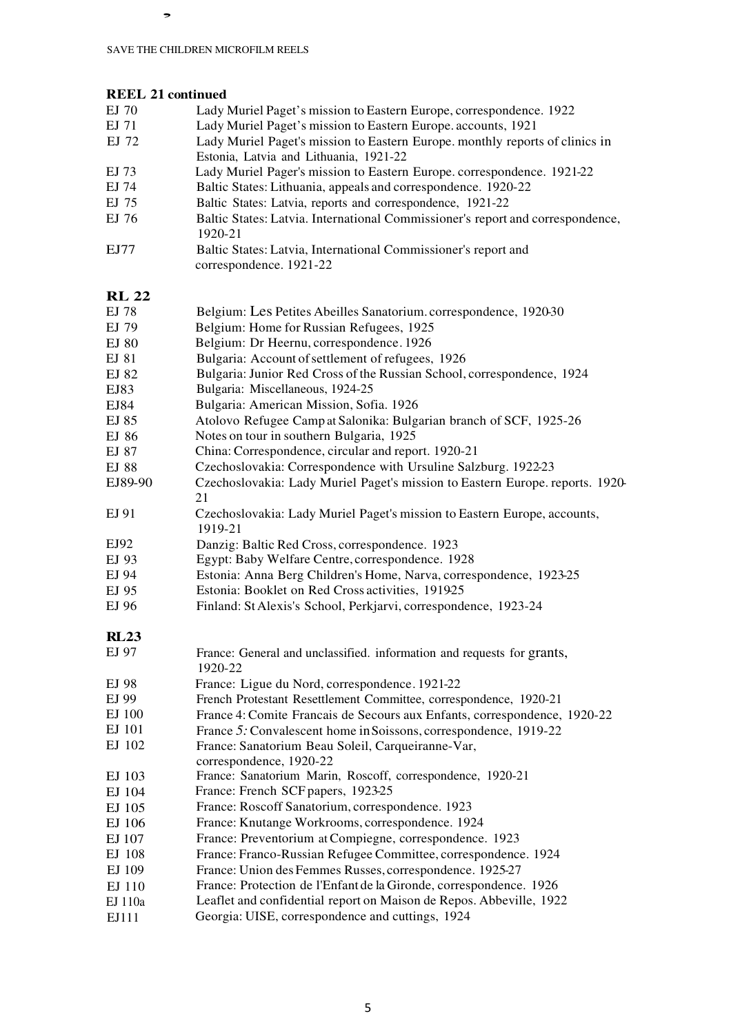# **REEL 21 continued**

,

- EJ 70 Lady Muriel Paget's mission to Eastern Europe, correspondence. 1922<br>EJ 71 Lady Muriel Paget's mission to Eastern Europe. accounts, 1921
- Lady Muriel Paget's mission to Eastern Europe. accounts, 1921
- EJ 72 Lady Muriel Paget's mission to Eastern Europe. monthly reports of clinics in Estonia, Latvia and Lithuania, 1921-22
- EJ 73 Lady Muriel Pager's mission to Eastern Europe. correspondence. 1921-22
- EJ 74 Baltic States: Lithuania, appeals and correspondence. 1920-22
- EJ 75 Baltic States: Latvia, reports and correspondence, 1921-22
- EJ 76 Baltic States: Latvia. International Commissioner's report and correspondence, 1920-21
- EJ77 Baltic States: Latvia, International Commissioner's report and correspondence. 1921-22

# **RL 22**

| KL 22       |                                                                                     |
|-------------|-------------------------------------------------------------------------------------|
| EJ 78       | Belgium: Les Petites Abeilles Sanatorium. correspondence, 1920-30                   |
| EJ 79       | Belgium: Home for Russian Refugees, 1925                                            |
| EJ 80       | Belgium: Dr Heernu, correspondence. 1926                                            |
| EJ 81       | Bulgaria: Account of settlement of refugees, 1926                                   |
| EJ 82       | Bulgaria: Junior Red Cross of the Russian School, correspondence, 1924              |
| EJ83        | Bulgaria: Miscellaneous, 1924-25                                                    |
| EJ84        | Bulgaria: American Mission, Sofia. 1926                                             |
| EJ 85       | Atolovo Refugee Camp at Salonika: Bulgarian branch of SCF, 1925-26                  |
| EJ 86       | Notes on tour in southern Bulgaria, 1925                                            |
| EJ 87       | China: Correspondence, circular and report. 1920-21                                 |
| EJ 88       | Czechoslovakia: Correspondence with Ursuline Salzburg. 1922-23                      |
| EJ89-90     | Czechoslovakia: Lady Muriel Paget's mission to Eastern Europe. reports. 1920-<br>21 |
| EJ 91       | Czechoslovakia: Lady Muriel Paget's mission to Eastern Europe, accounts,<br>1919-21 |
| EJ92        | Danzig: Baltic Red Cross, correspondence. 1923                                      |
| EJ 93       | Egypt: Baby Welfare Centre, correspondence. 1928                                    |
| EJ 94       | Estonia: Anna Berg Children's Home, Narva, correspondence, 1923-25                  |
| EJ 95       | Estonia: Booklet on Red Cross activities, 191925                                    |
| EJ 96       | Finland: St Alexis's School, Perkjarvi, correspondence, 1923-24                     |
| <b>RL23</b> |                                                                                     |
| EJ 97       | France: General and unclassified. information and requests for grants,<br>1920-22   |
| EJ 98       | France: Ligue du Nord, correspondence. 1921-22                                      |
| EJ 99       | French Protestant Resettlement Committee, correspondence, 1920-21                   |
| EJ 100      | France 4: Comite Francais de Secours aux Enfants, correspondence, 1920-22           |
| EJ 101      | France 5: Convalescent home in Soissons, correspondence, 1919-22                    |
| EJ 102      | France: Sanatorium Beau Soleil, Carqueiranne-Var,<br>correspondence, 1920-22        |
| EJ 103      | France: Sanatorium Marin, Roscoff, correspondence, 1920-21                          |
| EJ 104      | France: French SCF papers, 1923-25                                                  |
| EJ 105      | France: Roscoff Sanatorium, correspondence. 1923                                    |
| EJ 106      | France: Knutange Workrooms, correspondence. 1924                                    |
| EJ 107      | France: Preventorium at Compiegne, correspondence. 1923                             |
| EJ 108      | France: Franco-Russian Refugee Committee, correspondence. 1924                      |
| EJ 109      | France: Union des Femmes Russes, correspondence. 1925-27                            |
| EJ 110      | France: Protection de l'Enfant de la Gironde, correspondence. 1926                  |
| EJ 110a     | Leaflet and confidential report on Maison de Repos. Abbeville, 1922                 |
| EJ111       | Georgia: UISE, correspondence and cuttings, 1924                                    |
|             |                                                                                     |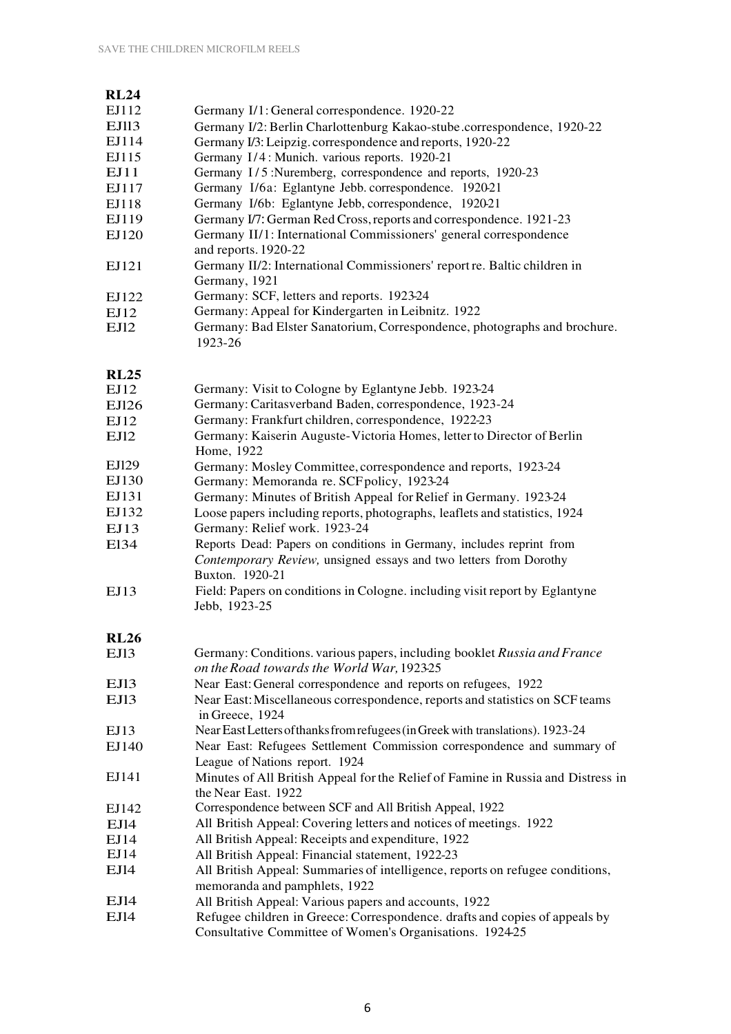| <b>RL24</b>  |                                                                                                                                         |
|--------------|-----------------------------------------------------------------------------------------------------------------------------------------|
| EJ112        |                                                                                                                                         |
|              | Germany I/1: General correspondence. 1920-22                                                                                            |
| <b>EJ113</b> | Germany I/2: Berlin Charlottenburg Kakao-stube.correspondence, 1920-22                                                                  |
| EJ114        | Germany I/3: Leipzig. correspondence and reports, 1920-22                                                                               |
| EJ115        | Germany I/4: Munich. various reports. 1920-21                                                                                           |
| EJ11         | Germany I/5:Nuremberg, correspondence and reports, 1920-23                                                                              |
| EJ117        | Germany I/6a: Eglantyne Jebb. correspondence. 1920-21                                                                                   |
| EJ118        | Germany I/6b: Eglantyne Jebb, correspondence, 1920-21                                                                                   |
| EJ119        | Germany I/7: German Red Cross, reports and correspondence. 1921-23                                                                      |
| EJ120        | Germany II/1: International Commissioners' general correspondence<br>and reports. 1920-22                                               |
| EJ121        | Germany II/2: International Commissioners' report re. Baltic children in<br>Germany, 1921                                               |
| EJ122        | Germany: SCF, letters and reports. 1923-24                                                                                              |
| EJ12         | Germany: Appeal for Kindergarten in Leibnitz. 1922                                                                                      |
| EJI2         | Germany: Bad Elster Sanatorium, Correspondence, photographs and brochure.<br>1923-26                                                    |
| <b>RL25</b>  | Germany: Visit to Cologne by Eglantyne Jebb. 1923-24                                                                                    |
| EJ12         | Germany: Caritasverband Baden, correspondence, 1923-24                                                                                  |
| EJ126        | Germany: Frankfurt children, correspondence, 1922-23                                                                                    |
| EJ12         | Germany: Kaiserin Auguste-Victoria Homes, letter to Director of Berlin                                                                  |
| EJ12         | Home, 1922                                                                                                                              |
| EJ129        | Germany: Mosley Committee, correspondence and reports, 1923-24                                                                          |
| EJ130        | Germany: Memoranda re. SCF policy, 1923-24                                                                                              |
| EJ131        | Germany: Minutes of British Appeal for Relief in Germany. 1923-24                                                                       |
| EJ132        | Loose papers including reports, photographs, leaflets and statistics, 1924                                                              |
| EJ13         | Germany: Relief work. 1923-24                                                                                                           |
| E134         | Reports Dead: Papers on conditions in Germany, includes reprint from                                                                    |
|              | Contemporary Review, unsigned essays and two letters from Dorothy<br>Buxton. 1920-21                                                    |
| EJ13         | Field: Papers on conditions in Cologne. including visit report by Eglantyne<br>Jebb, 1923-25                                            |
| <b>RL26</b>  |                                                                                                                                         |
| EJI3         | Germany: Conditions. various papers, including booklet Russia and France<br>on the Road towards the World War, 1923-25                  |
| EJI3         | Near East: General correspondence and reports on refugees, 1922                                                                         |
| EJI3         | Near East: Miscellaneous correspondence, reports and statistics on SCF teams<br>in Greece, 1924                                         |
| EJ13         | Near East Letters of thanks from refugees (in Greek with translations). 1923-24                                                         |
| EJ140        | Near East: Refugees Settlement Commission correspondence and summary of<br>League of Nations report. 1924                               |
| EJ141        | Minutes of All British Appeal for the Relief of Famine in Russia and Distress in<br>the Near East. 1922                                 |
| EJ142        | Correspondence between SCF and All British Appeal, 1922                                                                                 |
| EJ14         | All British Appeal: Covering letters and notices of meetings. 1922                                                                      |
| EJ14         | All British Appeal: Receipts and expenditure, 1922                                                                                      |
| EJ14         | All British Appeal: Financial statement, 1922-23                                                                                        |
| EJ14         | All British Appeal: Summaries of intelligence, reports on refugee conditions,                                                           |
|              | memoranda and pamphlets, 1922                                                                                                           |
| EJI4         | All British Appeal: Various papers and accounts, 1922                                                                                   |
| EJ14         | Refugee children in Greece: Correspondence. drafts and copies of appeals by<br>Consultative Committee of Women's Organisations. 1924-25 |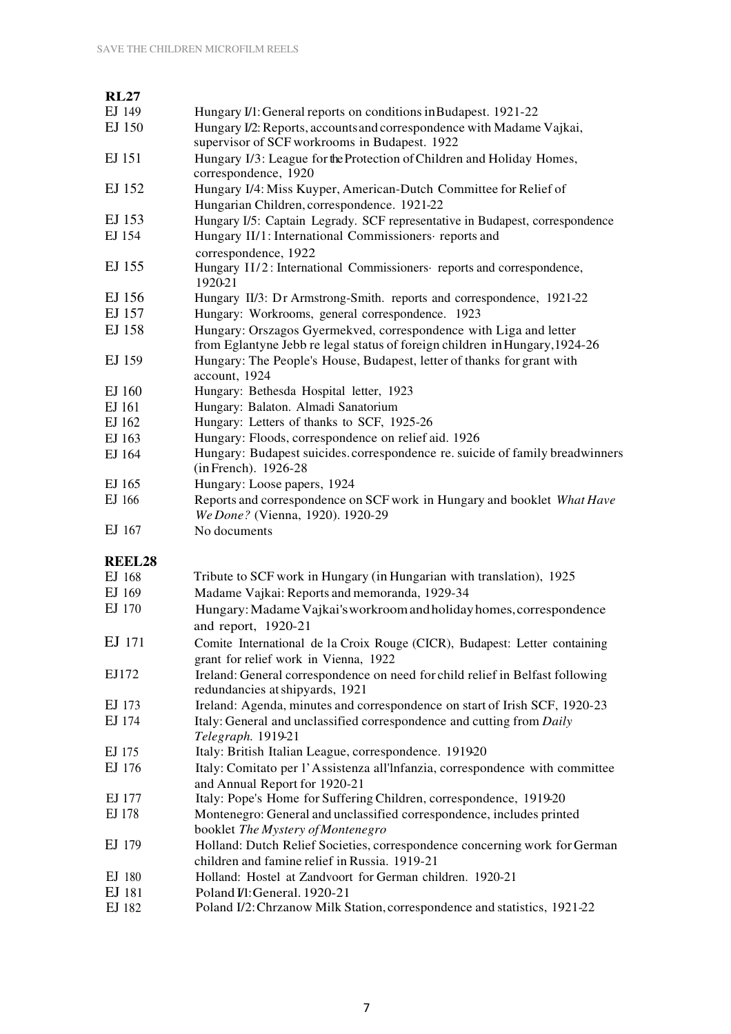| <b>RL27</b>   |                                                                                                                             |
|---------------|-----------------------------------------------------------------------------------------------------------------------------|
| EJ 149        | Hungary I/1: General reports on conditions in Budapest. 1921-22                                                             |
| EJ 150        | Hungary I/2: Reports, accounts and correspondence with Madame Vajkai,<br>supervisor of SCF workrooms in Budapest. 1922      |
| EJ 151        | Hungary I/3: League for the Protection of Children and Holiday Homes,                                                       |
|               | correspondence, 1920                                                                                                        |
| EJ 152        | Hungary I/4: Miss Kuyper, American-Dutch Committee for Relief of                                                            |
|               | Hungarian Children, correspondence. 1921-22                                                                                 |
| EJ 153        | Hungary I/5: Captain Legrady. SCF representative in Budapest, correspondence                                                |
| EJ 154        | Hungary II/1: International Commissioners reports and<br>correspondence, 1922                                               |
| EJ 155        | Hungary II/2: International Commissioners reports and correspondence,<br>1920-21                                            |
| EJ 156        | Hungary II/3: Dr Armstrong-Smith. reports and correspondence, 1921-22                                                       |
| EJ 157        | Hungary: Workrooms, general correspondence. 1923                                                                            |
| EJ 158        | Hungary: Orszagos Gyermekved, correspondence with Liga and letter                                                           |
|               | from Eglantyne Jebb re legal status of foreign children in Hungary, 1924-26                                                 |
| EJ 159        | Hungary: The People's House, Budapest, letter of thanks for grant with<br>account, 1924                                     |
| EJ 160        | Hungary: Bethesda Hospital letter, 1923                                                                                     |
| EJ 161        | Hungary: Balaton. Almadi Sanatorium                                                                                         |
|               |                                                                                                                             |
| EJ 162        | Hungary: Letters of thanks to SCF, 1925-26                                                                                  |
| EJ 163        | Hungary: Floods, correspondence on relief aid. 1926                                                                         |
| EJ 164        | Hungary: Budapest suicides.correspondence re. suicide of family breadwinners<br>(in French). 1926-28                        |
| EJ 165        | Hungary: Loose papers, 1924                                                                                                 |
| EJ 166        | Reports and correspondence on SCF work in Hungary and booklet What Have<br>We Done? (Vienna, 1920). 1920-29                 |
| EJ 167        | No documents                                                                                                                |
| <b>REEL28</b> |                                                                                                                             |
| EJ 168        | Tribute to SCF work in Hungary (in Hungarian with translation), 1925                                                        |
| EJ 169        | Madame Vajkai: Reports and memoranda, 1929-34                                                                               |
| EJ 170        | Hungary: Madame Vajkai's workroom and holiday homes, correspondence                                                         |
|               | and report, 1920-21                                                                                                         |
| EJ 171        | Comite International de la Croix Rouge (CICR), Budapest: Letter containing                                                  |
|               | grant for relief work in Vienna, 1922                                                                                       |
| EJ172         | Ireland: General correspondence on need for child relief in Belfast following<br>redundancies at shipyards, 1921            |
| EJ 173        | Ireland: Agenda, minutes and correspondence on start of Irish SCF, 1920-23                                                  |
| EJ 174        | Italy: General and unclassified correspondence and cutting from Daily<br>Telegraph. 1919-21                                 |
| EJ 175        | Italy: British Italian League, correspondence. 191920                                                                       |
| EJ 176        | Italy: Comitato per l'Assistenza all'Infanzia, correspondence with committee                                                |
|               | and Annual Report for 1920-21                                                                                               |
| EJ 177        | Italy: Pope's Home for Suffering Children, correspondence, 1919-20                                                          |
| EJ 178        | Montenegro: General and unclassified correspondence, includes printed<br>booklet The Mystery of Montenegro                  |
| EJ 179        | Holland: Dutch Relief Societies, correspondence concerning work for German<br>children and famine relief in Russia. 1919-21 |
| EJ 180        | Holland: Hostel at Zandvoort for German children. 1920-21                                                                   |
|               |                                                                                                                             |
| EJ 181        | Poland I/1: General. 1920-21                                                                                                |
| EJ 182        | Poland I/2: Chrzanow Milk Station, correspondence and statistics, 1921-22                                                   |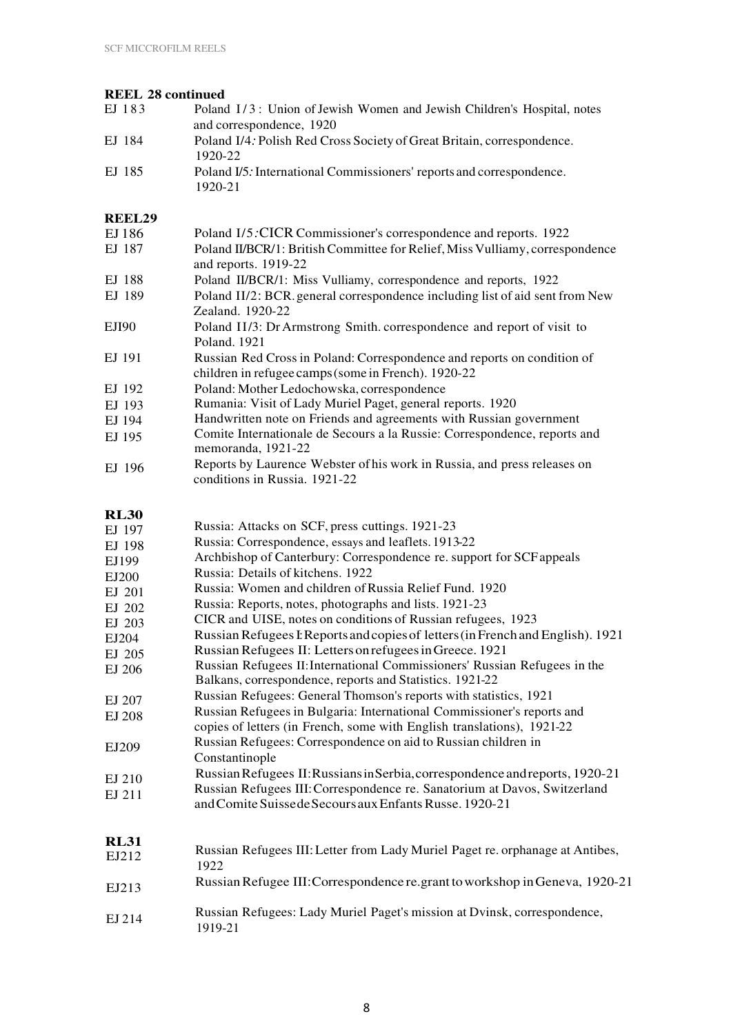#### **REEL 28 continued**

| EJ 183               | Poland I/3: Union of Jewish Women and Jewish Children's Hospital, notes<br>and correspondence, 1920                                   |
|----------------------|---------------------------------------------------------------------------------------------------------------------------------------|
| EJ 184               | Poland I/4: Polish Red Cross Society of Great Britain, correspondence.<br>1920-22                                                     |
| EJ 185               | Poland I/5: International Commissioners' reports and correspondence.<br>1920-21                                                       |
| <b>REEL29</b>        |                                                                                                                                       |
| EJ 186               | Poland I/5: CICR Commissioner's correspondence and reports. 1922                                                                      |
| EJ 187               | Poland II/BCR/1: British Committee for Relief, Miss Vulliamy, correspondence<br>and reports. 1919-22                                  |
| EJ 188               | Poland II/BCR/1: Miss Vulliamy, correspondence and reports, 1922                                                                      |
| EJ 189               | Poland II/2: BCR. general correspondence including list of aid sent from New<br>Zealand. 1920-22                                      |
| EJI90                | Poland II/3: Dr Armstrong Smith. correspondence and report of visit to<br>Poland. 1921                                                |
| EJ 191               | Russian Red Cross in Poland: Correspondence and reports on condition of<br>children in refugee camps (some in French). 1920-22        |
| EJ 192               | Poland: Mother Ledochowska, correspondence                                                                                            |
| EJ 193               | Rumania: Visit of Lady Muriel Paget, general reports. 1920                                                                            |
| EJ 194               | Handwritten note on Friends and agreements with Russian government                                                                    |
| EJ 195               | Comite Internationale de Secours a la Russie: Correspondence, reports and<br>memoranda, 1921-22                                       |
| EJ 196               | Reports by Laurence Webster of his work in Russia, and press releases on<br>conditions in Russia. 1921-22                             |
| <b>RL30</b>          |                                                                                                                                       |
| EJ 197               | Russia: Attacks on SCF, press cuttings. 1921-23                                                                                       |
| EJ 198               | Russia: Correspondence, essays and leaflets. 1913-22                                                                                  |
| EJ199                | Archbishop of Canterbury: Correspondence re. support for SCF appeals                                                                  |
| EJ200                | Russia: Details of kitchens. 1922                                                                                                     |
| EJ 201               | Russia: Women and children of Russia Relief Fund. 1920                                                                                |
| EJ 202               | Russia: Reports, notes, photographs and lists. 1921-23                                                                                |
| EJ 203               | CICR and UISE, notes on conditions of Russian refugees, 1923                                                                          |
| EJ204                | Russian Refugees I: Reports and copies of letters (in French and English). 1921                                                       |
| EJ 205               | Russian Refugees II: Letters on refugees in Greece. 1921                                                                              |
| EJ 206               | Russian Refugees II: International Commissioners' Russian Refugees in the<br>Balkans, correspondence, reports and Statistics. 1921-22 |
| EJ 207               | Russian Refugees: General Thomson's reports with statistics, 1921                                                                     |
| EJ 208               | Russian Refugees in Bulgaria: International Commissioner's reports and                                                                |
|                      | copies of letters (in French, some with English translations), 1921-22                                                                |
| EJ209                | Russian Refugees: Correspondence on aid to Russian children in<br>Constantinople                                                      |
| EJ 210               | Russian Refugees II: Russians in Serbia, correspondence and reports, 1920-21                                                          |
| EJ 211               | Russian Refugees III: Correspondence re. Sanatorium at Davos, Switzerland<br>and Comite Suisse de Secours aux Enfants Russe. 1920-21  |
| <b>RL31</b><br>EJ212 | Russian Refugees III: Letter from Lady Muriel Paget re. orphanage at Antibes,                                                         |
| EJ213                | 1922<br>Russian Refugee III: Correspondence re.grant to workshop in Geneva, 1920-21                                                   |
|                      |                                                                                                                                       |
| $FI$ 214             | Russian Refugees: Lady Muriel Paget's mission at Dvinsk, correspondence,                                                              |

EJ 214 1919-21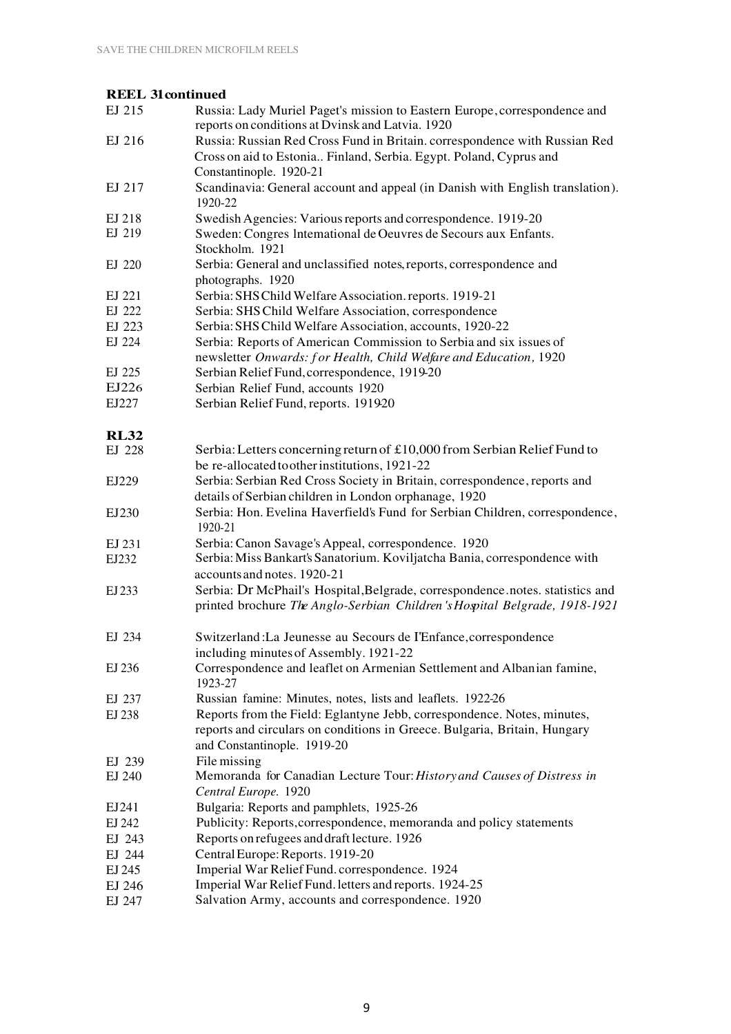#### **REEL 31continued**

| EJ 215      | Russia: Lady Muriel Paget's mission to Eastern Europe, correspondence and<br>reports on conditions at Dvinsk and Latvia. 1920                    |
|-------------|--------------------------------------------------------------------------------------------------------------------------------------------------|
| EJ 216      | Russia: Russian Red Cross Fund in Britain. correspondence with Russian Red<br>Cross on aid to Estonia Finland, Serbia. Egypt. Poland, Cyprus and |
|             | Constantinople. 1920-21                                                                                                                          |
| EJ 217      | Scandinavia: General account and appeal (in Danish with English translation).<br>1920-22                                                         |
| EJ 218      | Swedish Agencies: Various reports and correspondence. 1919-20                                                                                    |
| EJ 219      | Sweden: Congres Intemational de Oeuvres de Secours aux Enfants.                                                                                  |
|             | Stockholm. 1921                                                                                                                                  |
| EJ 220      | Serbia: General and unclassified notes, reports, correspondence and                                                                              |
|             | photographs. 1920                                                                                                                                |
| EJ 221      | Serbia: SHS Child Welfare Association. reports. 1919-21                                                                                          |
| EJ 222      | Serbia: SHS Child Welfare Association, correspondence                                                                                            |
| EJ 223      | Serbia: SHS Child Welfare Association, accounts, 1920-22                                                                                         |
|             |                                                                                                                                                  |
| EJ 224      | Serbia: Reports of American Commission to Serbia and six issues of                                                                               |
|             | newsletter Onwards: for Health, Child Welfare and Education, 1920                                                                                |
| EJ 225      | Serbian Relief Fund, correspondence, 1919-20                                                                                                     |
| EJ226       | Serbian Relief Fund, accounts 1920                                                                                                               |
| EJ227       | Serbian Relief Fund, reports. 191920                                                                                                             |
| <b>RL32</b> |                                                                                                                                                  |
| EJ 228      | Serbia: Letters concerning return of £10,000 from Serbian Relief Fund to                                                                         |
|             | be re-allocated to other institutions, 1921-22                                                                                                   |
| EJ229       | Serbia: Serbian Red Cross Society in Britain, correspondence, reports and                                                                        |
|             | details of Serbian children in London orphanage, 1920                                                                                            |
| EJ230       | Serbia: Hon. Evelina Haverfield's Fund for Serbian Children, correspondence,<br>1920-21                                                          |
| EJ 231      | Serbia: Canon Savage's Appeal, correspondence. 1920                                                                                              |
| EJ232       | Serbia: Miss Bankart's Sanatorium. Koviljatcha Bania, correspondence with                                                                        |
|             | accounts and notes. 1920-21                                                                                                                      |
| EJ 233      | Serbia: Dr McPhail's Hospital, Belgrade, correspondence.notes. statistics and                                                                    |
|             | printed brochure The Anglo-Serbian Children's Hospital Belgrade, 1918-1921                                                                       |
| EJ 234      | Switzerland: La Jeunesse au Secours de l'Enfance, correspondence                                                                                 |
|             | including minutes of Assembly. 1921-22                                                                                                           |
| EJ 236      | Correspondence and leaflet on Armenian Settlement and Albanian famine,<br>1923-27                                                                |
| EJ 237      | Russian famine: Minutes, notes, lists and leaflets. 1922-26                                                                                      |
| EJ 238      | Reports from the Field: Eglantyne Jebb, correspondence. Notes, minutes,                                                                          |
|             | reports and circulars on conditions in Greece. Bulgaria, Britain, Hungary                                                                        |
|             | and Constantinople. 1919-20                                                                                                                      |
| EJ 239      | File missing                                                                                                                                     |
| EJ 240      | Memoranda for Canadian Lecture Tour: History and Causes of Distress in                                                                           |
|             | Central Europe. 1920                                                                                                                             |
| EJ241       | Bulgaria: Reports and pamphlets, 1925-26                                                                                                         |
| EJ 242      | Publicity: Reports, correspondence, memoranda and policy statements                                                                              |
|             |                                                                                                                                                  |
| EJ 243      | Reports on refugees and draft lecture. 1926                                                                                                      |
| EJ 244      | Central Europe: Reports. 1919-20                                                                                                                 |
| EJ 245      | Imperial War Relief Fund. correspondence. 1924                                                                                                   |
| EJ 246      | Imperial War Relief Fund. letters and reports. 1924-25                                                                                           |
| EJ 247      | Salvation Army, accounts and correspondence. 1920                                                                                                |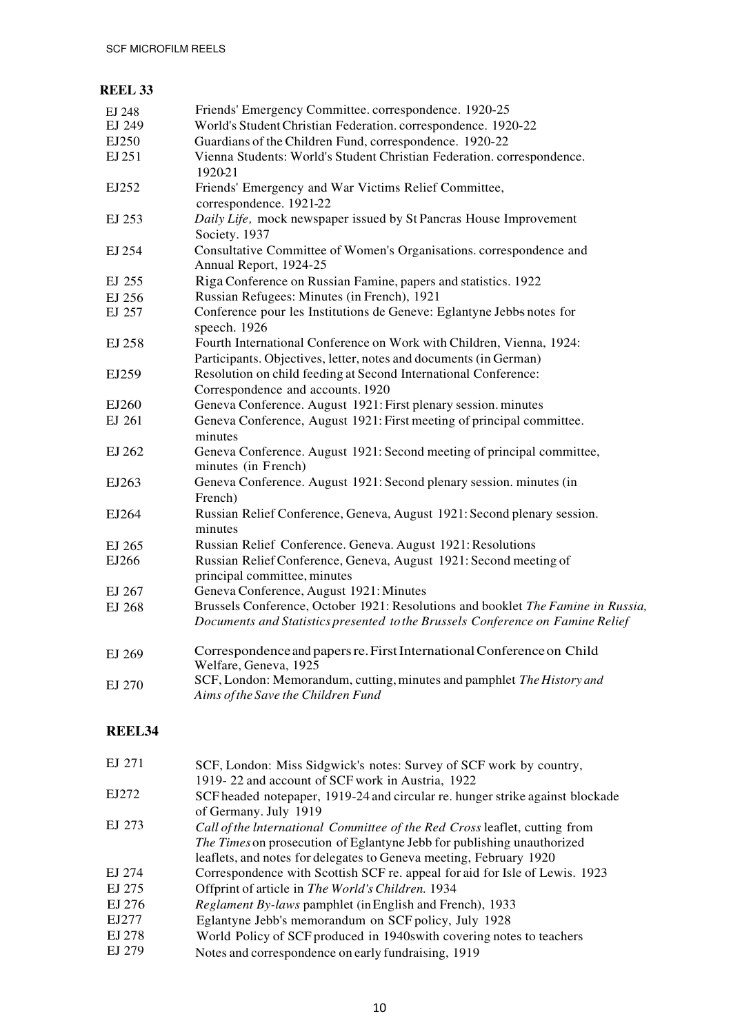#### **REEL 33**

| EJ 248 | Friends' Emergency Committee. correspondence. 1920-25                             |
|--------|-----------------------------------------------------------------------------------|
| EJ 249 | World's Student Christian Federation. correspondence. 1920-22                     |
| EJ250  | Guardians of the Children Fund, correspondence. 1920-22                           |
| EJ 251 | Vienna Students: World's Student Christian Federation. correspondence.<br>1920-21 |
| EJ252  | Friends' Emergency and War Victims Relief Committee,                              |
|        | correspondence. 1921-22                                                           |
| EJ 253 | Daily Life, mock newspaper issued by St Pancras House Improvement                 |
|        | Society. 1937                                                                     |
| EJ 254 | Consultative Committee of Women's Organisations. correspondence and               |
|        | Annual Report, 1924-25                                                            |
| EJ 255 | Riga Conference on Russian Famine, papers and statistics. 1922                    |
| EJ 256 | Russian Refugees: Minutes (in French), 1921                                       |
| EJ 257 | Conference pour les Institutions de Geneve: Eglantyne Jebbs notes for             |
|        | speech. 1926                                                                      |
| EJ 258 | Fourth International Conference on Work with Children, Vienna, 1924:              |
|        | Participants. Objectives, letter, notes and documents (in German)                 |
| EJ259  | Resolution on child feeding at Second International Conference:                   |
|        | Correspondence and accounts. 1920                                                 |
| EJ260  | Geneva Conference. August 1921: First plenary session. minutes                    |
| EJ 261 | Geneva Conference, August 1921: First meeting of principal committee.             |
|        | minutes                                                                           |
| EJ 262 | Geneva Conference. August 1921: Second meeting of principal committee,            |
|        | minutes (in French)                                                               |
| EJ263  | Geneva Conference. August 1921: Second plenary session. minutes (in               |
|        | French)                                                                           |
| EJ264  | Russian Relief Conference, Geneva, August 1921: Second plenary session.           |
|        | minutes                                                                           |
| EJ 265 | Russian Relief Conference. Geneva. August 1921: Resolutions                       |
| EJ266  | Russian Relief Conference, Geneva, August 1921: Second meeting of                 |
|        | principal committee, minutes                                                      |
| EJ 267 | Geneva Conference, August 1921: Minutes                                           |
| EJ 268 | Brussels Conference, October 1921: Resolutions and booklet The Famine in Russia,  |
|        | Documents and Statistics presented to the Brussels Conference on Famine Relief    |
| EJ 269 | Correspondence and papers re. First International Conference on Child             |
|        | Welfare, Geneva, 1925                                                             |
| EJ 270 | SCF, London: Memorandum, cutting, minutes and pamphlet The History and            |
|        | Aims of the Save the Children Fund                                                |
|        |                                                                                   |

# **REEL34**

| EJ 271 | SCF, London: Miss Sidgwick's notes: Survey of SCF work by country,            |
|--------|-------------------------------------------------------------------------------|
|        | 1919-22 and account of SCF work in Austria, 1922                              |
| EJ272  | SCF headed notepaper, 1919-24 and circular re. hunger strike against blockade |
|        | of Germany. July 1919                                                         |
| EJ 273 | Call of the International Committee of the Red Cross leaflet, cutting from    |
|        | The Times on prosecution of Eglantyne Jebb for publishing unauthorized        |
|        | leaflets, and notes for delegates to Geneva meeting, February 1920            |
| EJ 274 | Correspondence with Scottish SCF re. appeal for aid for Isle of Lewis. 1923   |
| EJ 275 | Offprint of article in The World's Children. 1934                             |
| EJ 276 | <i>Reglament By-laws</i> pamphlet (in English and French), 1933               |
| EJ277  | Eglantyne Jebb's memorandum on SCF policy, July 1928                          |
| EJ 278 | World Policy of SCF produced in 1940swith covering notes to teachers          |
| EJ 279 | Notes and correspondence on early fundraising, 1919                           |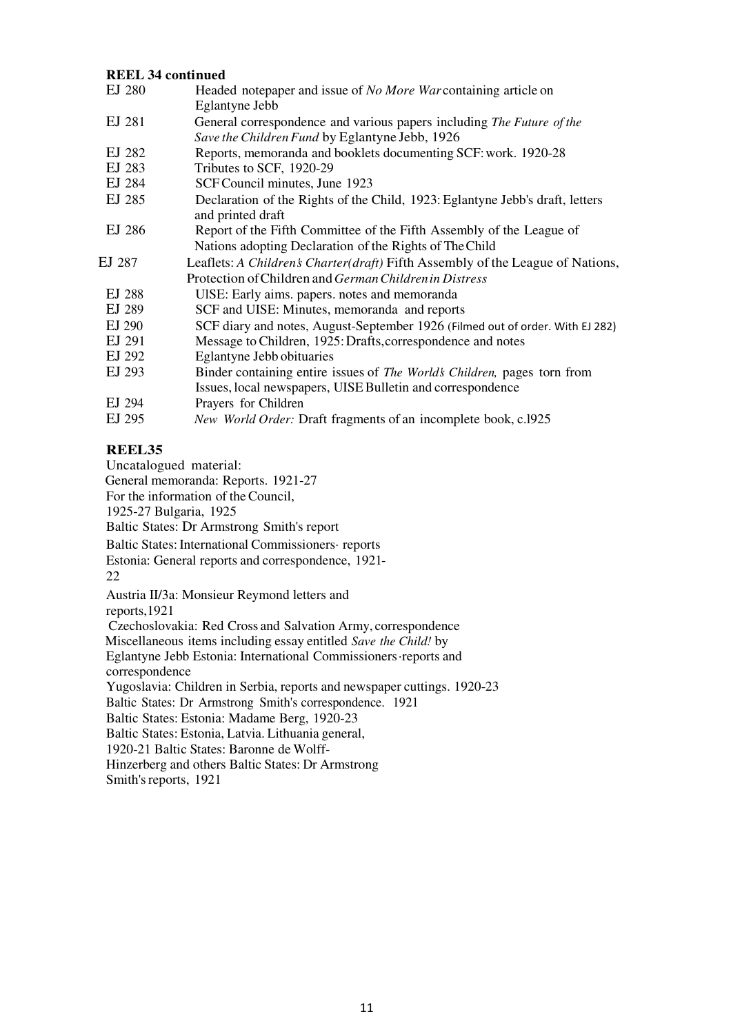#### **REEL 34 continued**

| EJ 280 | Headed notepaper and issue of <i>No More War</i> containing article on<br>Eglantyne Jebb                                |
|--------|-------------------------------------------------------------------------------------------------------------------------|
| EJ 281 | General correspondence and various papers including The Future of the<br>Save the Children Fund by Eglantyne Jebb, 1926 |
| EJ 282 | Reports, memoranda and booklets documenting SCF: work. 1920-28                                                          |
| EJ 283 | Tributes to SCF, 1920-29                                                                                                |
| EJ 284 | SCF Council minutes, June 1923                                                                                          |
| EJ 285 | Declaration of the Rights of the Child, 1923: Eglantyne Jebb's draft, letters<br>and printed draft                      |
| EJ 286 | Report of the Fifth Committee of the Fifth Assembly of the League of                                                    |
|        | Nations adopting Declaration of the Rights of The Child                                                                 |
| EJ 287 | Leaflets: A Children's Charter(draft) Fifth Assembly of the League of Nations,                                          |
|        | Protection of Children and <i>German Children in Distress</i>                                                           |
| EJ 288 | UISE: Early aims. papers. notes and memoranda                                                                           |
| EJ 289 | SCF and UISE: Minutes, memoranda and reports                                                                            |
| EJ 290 | SCF diary and notes, August-September 1926 (Filmed out of order. With EJ 282)                                           |
| EJ 291 | Message to Children, 1925: Drafts, correspondence and notes                                                             |
| EJ 292 | <b>Eglantyne Jebb obituaries</b>                                                                                        |
| EJ 293 | Binder containing entire issues of The Worlds Children, pages torn from                                                 |
|        |                                                                                                                         |
|        | Issues, local newspapers, UISE Bulletin and correspondence                                                              |
| EJ 294 | Prayers for Children                                                                                                    |

#### **REEL35**

Uncatalogued material:

General memoranda: Reports. 1921-27

For the information of the Council,

1925-27 Bulgaria, 1925

Baltic States: Dr Armstrong Smith's report

Baltic States: International Commissioners· reports

Estonia: General reports and correspondence, 1921-

22

Austria II/3a: Monsieur Reymond letters and

reports,1921

Czechoslovakia: Red Cross and Salvation Army, correspondence

Miscellaneous items including essay entitled *Save the Child!* by

Eglantyne Jebb Estonia: International Commissioners ·reports and correspondence

Yugoslavia: Children in Serbia, reports and newspaper cuttings. 1920-23

Baltic States: Dr Armstrong Smith's correspondence. 1921

Baltic States: Estonia: Madame Berg, 1920-23

Baltic States: Estonia, Latvia. Lithuania general,

1920-21 Baltic States: Baronne de Wolff-

Hinzerberg and others Baltic States: Dr Armstrong

Smith's reports, 1921